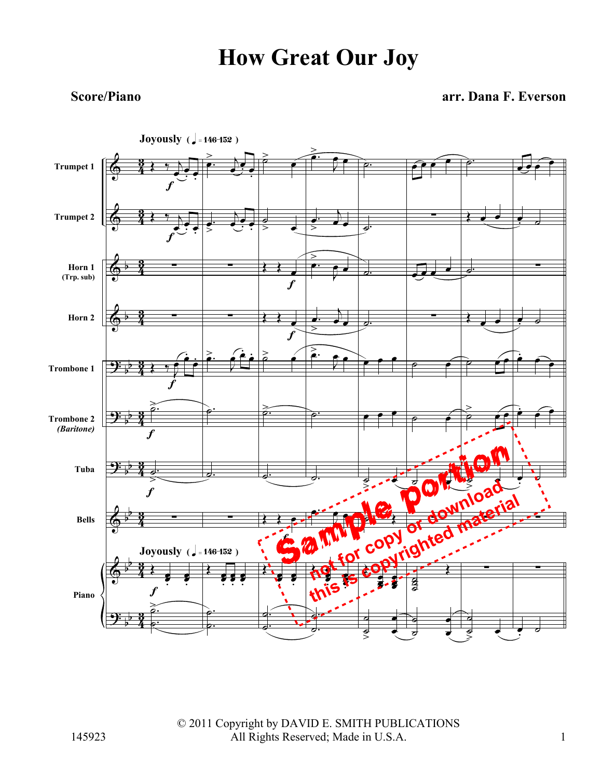## **Score/Piano**

## **arr. Dana F. Everson**



145923 1 All Rights Reserved; Made in U.S.A. © 2011 Copyright by DAVID E. SMITH PUBLICATIONS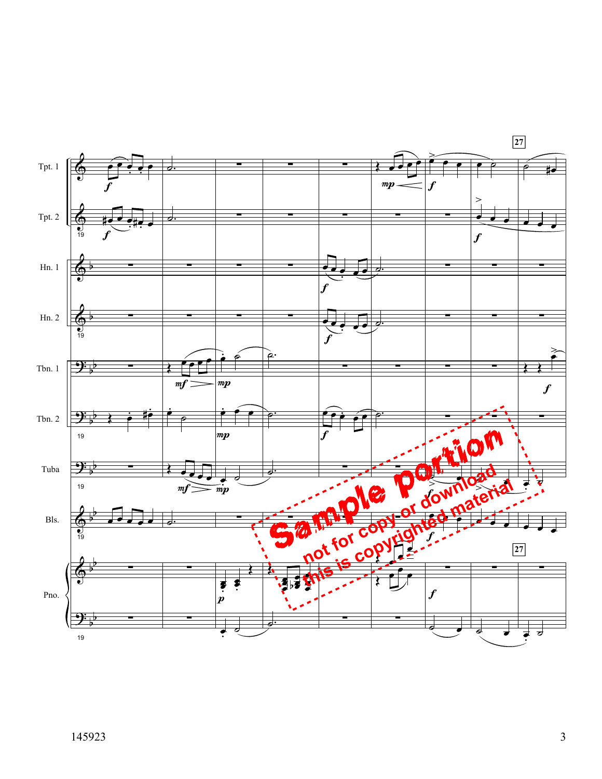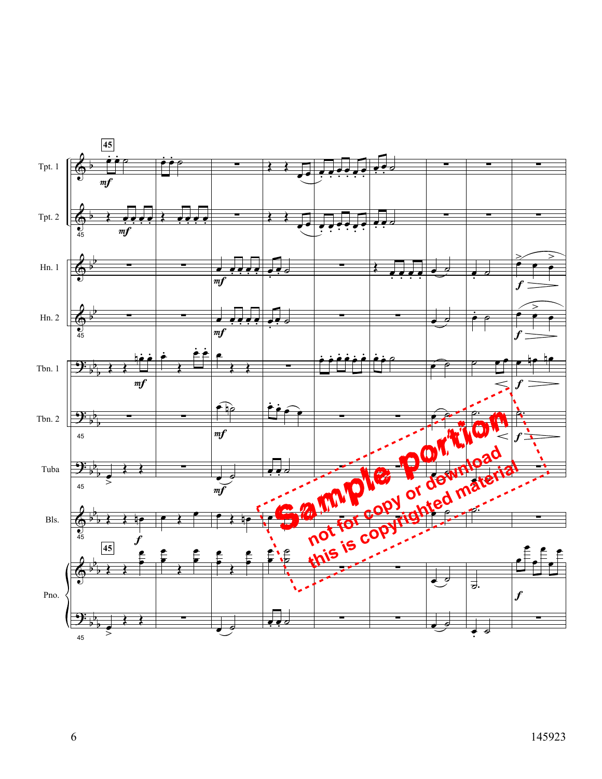

6 145923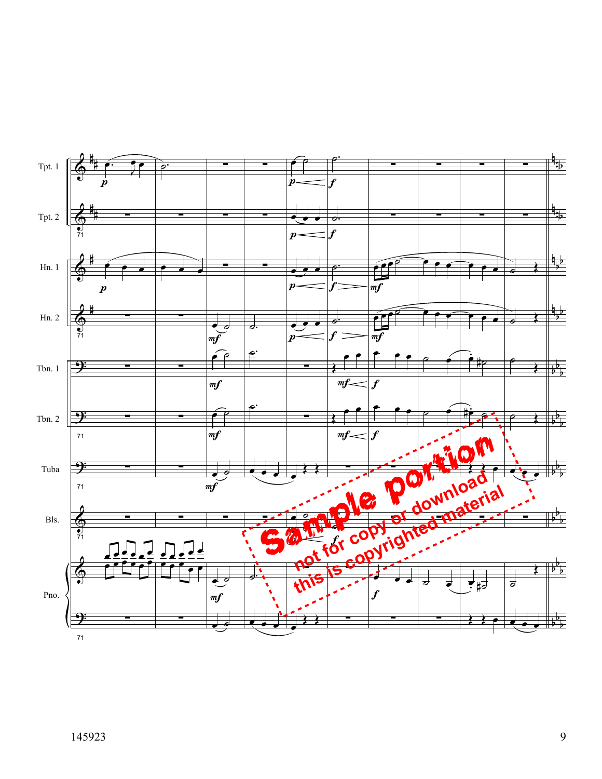